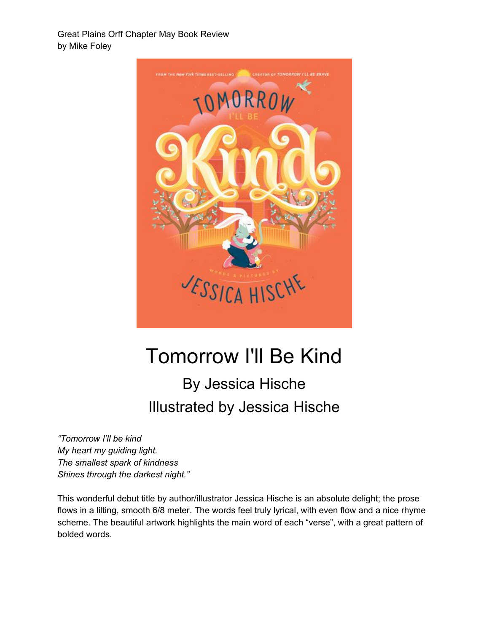Great Plains Orff Chapter May Book Review by Mike Foley



## Tomorrow I'll Be Kind

## By Jessica Hische Illustrated by Jessica Hische

*"Tomorrow I'll be kind My heart my guiding light. The smallest spark of kindness Shines through the darkest night."*

This wonderful debut title by author/illustrator Jessica Hische is an absolute delight; the prose flows in a lilting, smooth 6/8 meter. The words feel truly lyrical, with even flow and a nice rhyme scheme. The beautiful artwork highlights the main word of each "verse", with a great pattern of bolded words.